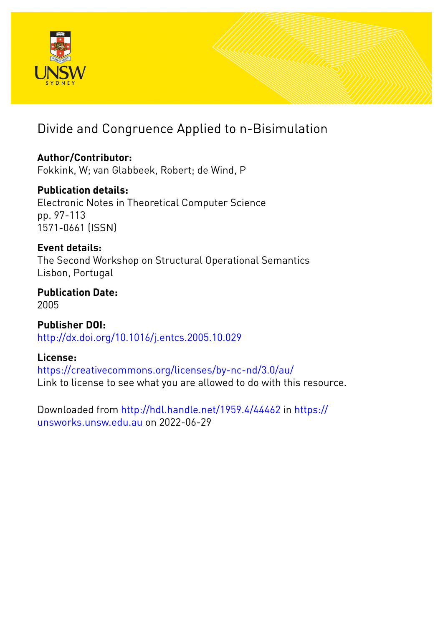

# Divide and Congruence Applied to n-Bisimulation

## **Author/Contributor:**

Fokkink, W; van Glabbeek, Robert; de Wind, P

## **Publication details:**

Electronic Notes in Theoretical Computer Science pp. 97-113 1571-0661 (ISSN)

## **Event details:**

The Second Workshop on Structural Operational Semantics Lisbon, Portugal

## **Publication Date:** 2005

**Publisher DOI:** [http://dx.doi.org/10.1016/j.entcs.2005.10.029](http://dx.doi.org/http://dx.doi.org/10.1016/j.entcs.2005.10.029)

## **License:**

<https://creativecommons.org/licenses/by-nc-nd/3.0/au/> Link to license to see what you are allowed to do with this resource.

Downloaded from <http://hdl.handle.net/1959.4/44462> in [https://](https://unsworks.unsw.edu.au) [unsworks.unsw.edu.au](https://unsworks.unsw.edu.au) on 2022-06-29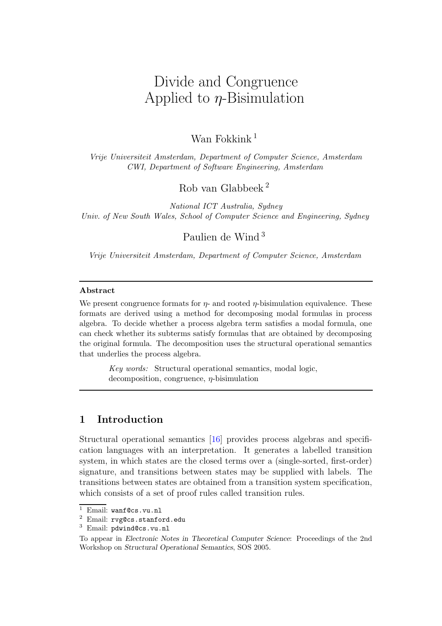# Divide and Congruence Applied to  $\eta$ -Bisimulation

## Wan Fokkink<sup>1</sup>

Vrije Universiteit Amsterdam, Department of Computer Science, Amsterdam CWI, Department of Software Engineering, Amsterdam

## Rob van Glabbeek <sup>2</sup>

National ICT Australia, Sydney Univ. of New South Wales, School of Computer Science and Engineering, Sydney

## Paulien de Wind <sup>3</sup>

Vrije Universiteit Amsterdam, Department of Computer Science, Amsterdam

#### Abstract

We present congruence formats for  $\eta$ - and rooted  $\eta$ -bisimulation equivalence. These formats are derived using a method for decomposing modal formulas in process algebra. To decide whether a process algebra term satisfies a modal formula, one can check whether its subterms satisfy formulas that are obtained by decomposing the original formula. The decomposition uses the structural operational semantics that underlies the process algebra.

Key words: Structural operational semantics, modal logic, decomposition, congruence,  $\eta$ -bisimulation

## 1 Introduction

Structural operational semantics [\[16\]](#page-14-0) provides process algebras and specification languages with an interpretation. It generates a labelled transition system, in which states are the closed terms over a (single-sorted, first-order) signature, and transitions between states may be supplied with labels. The transitions between states are obtained from a transition system specification, which consists of a set of proof rules called transition rules.

 $\overline{1}$  Email: wanf@cs.vu.nl

<sup>2</sup> Email: rvg@cs.stanford.edu

<sup>3</sup> Email: pdwind@cs.vu.nl

To appear in Electronic Notes in Theoretical Computer Science: Proceedings of the 2nd Workshop on Structural Operational Semantics, SOS 2005.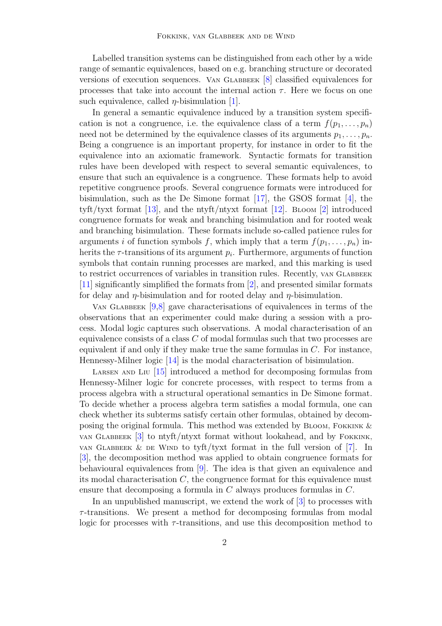Labelled transition systems can be distinguished from each other by a wide range of semantic equivalences, based on e.g. branching structure or decorated versions of execution sequences. Van Glabbeek [\[8\]](#page-14-1) classified equivalences for processes that take into account the internal action  $\tau$ . Here we focus on one such equivalence, called  $\eta$ -bisimulation [\[1\]](#page-13-0).

In general a semantic equivalence induced by a transition system specification is not a congruence, i.e. the equivalence class of a term  $f(p_1, \ldots, p_n)$ need not be determined by the equivalence classes of its arguments  $p_1, \ldots, p_n$ . Being a congruence is an important property, for instance in order to fit the equivalence into an axiomatic framework. Syntactic formats for transition rules have been developed with respect to several semantic equivalences, to ensure that such an equivalence is a congruence. These formats help to avoid repetitive congruence proofs. Several congruence formats were introduced for bisimulation, such as the De Simone format [\[17\]](#page-14-2), the GSOS format [\[4\]](#page-13-1), the tyft/tyxt format [\[13\]](#page-14-3), and the ntyft/ntyxt format [\[12\]](#page-14-4). BLOOM [\[2\]](#page-13-2) introduced congruence formats for weak and branching bisimulation and for rooted weak and branching bisimulation. These formats include so-called patience rules for arguments i of function symbols f, which imply that a term  $f(p_1, \ldots, p_n)$  inherits the  $\tau$ -transitions of its argument  $p_i$ . Furthermore, arguments of function symbols that contain running processes are marked, and this marking is used to restrict occurrences of variables in transition rules. Recently, van Glabbeek [\[11\]](#page-14-5) significantly simplified the formats from [\[2\]](#page-13-2), and presented similar formats for delay and  $\eta$ -bisimulation and for rooted delay and  $\eta$ -bisimulation.

VAN GLABBEEK  $[9,8]$  $[9,8]$  gave characterisations of equivalences in terms of the observations that an experimenter could make during a session with a process. Modal logic captures such observations. A modal characterisation of an equivalence consists of a class C of modal formulas such that two processes are equivalent if and only if they make true the same formulas in C. For instance, Hennessy-Milner logic [\[14\]](#page-14-7) is the modal characterisation of bisimulation.

LARSEN AND LIU  $[15]$  introduced a method for decomposing formulas from Hennessy-Milner logic for concrete processes, with respect to terms from a process algebra with a structural operational semantics in De Simone format. To decide whether a process algebra term satisfies a modal formula, one can check whether its subterms satisfy certain other formulas, obtained by decomposing the original formula. This method was extended by BLOOM, FOKKINK  $\&$ van Glabbeek [\[3\]](#page-13-3) to ntyft/ntyxt format without lookahead, and by Fokkink, van GLABBEEK & DE WIND to tyft/tyxt format in the full version of  $[7]$ . In [\[3\]](#page-13-3), the decomposition method was applied to obtain congruence formats for behavioural equivalences from [\[9\]](#page-14-6). The idea is that given an equivalence and its modal characterisation  $C$ , the congruence format for this equivalence must ensure that decomposing a formula in  $C$  always produces formulas in  $C$ .

In an unpublished manuscript, we extend the work of [\[3\]](#page-13-3) to processes with  $\tau$ -transitions. We present a method for decomposing formulas from modal logic for processes with  $\tau$ -transitions, and use this decomposition method to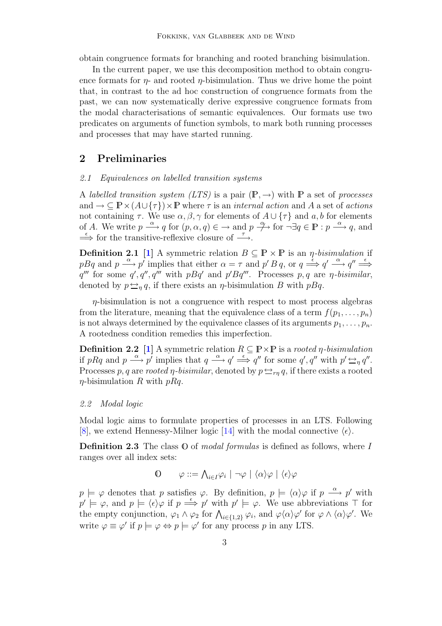obtain congruence formats for branching and rooted branching bisimulation.

In the current paper, we use this decomposition method to obtain congruence formats for  $\eta$ - and rooted  $\eta$ -bisimulation. Thus we drive home the point that, in contrast to the ad hoc construction of congruence formats from the past, we can now systematically derive expressive congruence formats from the modal characterisations of semantic equivalences. Our formats use two predicates on arguments of function symbols, to mark both running processes and processes that may have started running.

### 2 Preliminaries

#### 2.1 Equivalences on labelled transition systems

A labelled transition system (LTS) is a pair  $(\mathbb{P}, \rightarrow)$  with  $\mathbb P$  a set of processes and  $\to \subseteq \mathbb{P} \times (A \cup \{\tau\}) \times \mathbb{P}$  where  $\tau$  is an *internal action* and A a set of *actions* not containing  $\tau$ . We use  $\alpha, \beta, \gamma$  for elements of  $A \cup {\tau}$  and  $a, b$  for elements of A. We write  $p \stackrel{\alpha}{\longrightarrow} q$  for  $(p, \alpha, q) \in \mathcal{A}$  and  $p \stackrel{\alpha}{\longrightarrow}$  for  $\neg \exists q \in \mathbb{P} : p \stackrel{\alpha}{\longrightarrow} q$ , and  $\Rightarrow$  for the transitive-reflexive closure of  $\rightarrow$ .

<span id="page-3-0"></span>**Definition 2.1** [\[1\]](#page-13-0) A symmetric relation  $B \subseteq \mathbb{P} \times \mathbb{P}$  is an *η-bisimulation* if pBq and  $p \stackrel{\alpha}{\longrightarrow} p'$  implies that either  $\alpha = \tau$  and  $p' B q$ , or  $q \stackrel{\epsilon}{\Longrightarrow} q' \stackrel{\alpha}{\longrightarrow} q'' \stackrel{\epsilon}{\Longrightarrow}$ q''' for some q', q''', q''' with  $pBq'$  and  $p'Bq'''$ . Processes p, q are  $\eta$ -bisimilar, denoted by  $p \leftrightarrow_{\eta} q$ , if there exists an  $\eta$ -bisimulation B with  $pBq$ .

 $\eta$ -bisimulation is not a congruence with respect to most process algebras from the literature, meaning that the equivalence class of a term  $f(p_1, \ldots, p_n)$ is not always determined by the equivalence classes of its arguments  $p_1, \ldots, p_n$ . A rootedness condition remedies this imperfection.

**Definition 2.2** [\[1\]](#page-13-0) A symmetric relation  $R \subseteq \mathbb{P} \times \mathbb{P}$  is a rooted  $\eta$ -bisimulation if pRq and  $p \stackrel{\alpha}{\longrightarrow} p'$  implies that  $q \stackrel{\alpha}{\longrightarrow} q' \stackrel{\epsilon}{\Longrightarrow} q''$  for some  $q', q''$  with  $p' \stackrel{\epsilon}{\longrightarrow} q''$ . Processes p, q are rooted  $\eta$ -bisimilar, denoted by  $p \leftrightarrow_{rn} q$ , if there exists a rooted  $\eta$ -bisimulation R with  $pRq$ .

#### 2.2 Modal logic

Modal logic aims to formulate properties of processes in an LTS. Following [\[8\]](#page-14-1), we extend Hennessy-Milner logic [\[14\]](#page-14-7) with the modal connective  $\langle \epsilon \rangle$ .

**Definition 2.3** The class  $\mathbb{O}$  of modal formulas is defined as follows, where I ranges over all index sets:

$$
\begin{array}{ll}\n0 & \varphi ::= \bigwedge_{i \in I} \varphi_i \mid \neg \varphi \mid \langle \alpha \rangle \varphi \mid \langle \epsilon \rangle \varphi\n\end{array}
$$

 $p \models \varphi$  denotes that p satisfies  $\varphi$ . By definition,  $p \models \langle \alpha \rangle \varphi$  if  $p \stackrel{\alpha}{\longrightarrow} p'$  with  $p' \models \varphi$ , and  $p \models \langle \epsilon \rangle \varphi$  if  $p \stackrel{\epsilon}{\Longrightarrow} p'$  with  $p' \models \varphi$ . We use abbreviations  $\top$  for the empty conjunction,  $\varphi_1 \wedge \varphi_2$  for  $\bigwedge_{i \in \{1,2\}} \varphi_i$ , and  $\varphi \langle \alpha \rangle \varphi'$  for  $\varphi \wedge \langle \alpha \rangle \varphi'$ . We write  $\varphi \equiv \varphi'$  if  $p \models \varphi \Leftrightarrow p \models \varphi'$  for any process p in any LTS.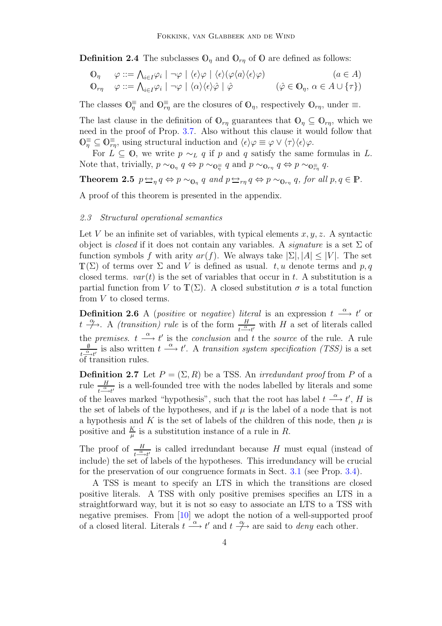**Definition 2.4** The subclasses  $\mathbb{O}_n$  and  $\mathbb{O}_{rn}$  of  $\mathbb{O}$  are defined as follows:

$$
\begin{array}{ll}\n\mathbb{O}_{\eta} & \varphi ::= \bigwedge_{i \in I} \varphi_i \mid \neg \varphi \mid \langle \epsilon \rangle \varphi \mid \langle \epsilon \rangle (\varphi \langle a \rangle \langle \epsilon \rangle \varphi) & (a \in A) \\
\mathbb{O}_{r\eta} & \varphi ::= \bigwedge_{i \in I} \varphi_i \mid \neg \varphi \mid \langle \alpha \rangle \langle \epsilon \rangle \hat{\varphi} \mid \hat{\varphi} & (\hat{\varphi} \in \mathbb{O}_{\eta}, \alpha \in A \cup \{\tau\})\n\end{array}
$$

The classes  $\mathbb{O}_\eta^{\equiv}$  and  $\mathbb{O}_{\eta}^{\equiv}$  are the closures of  $\mathbb{O}_{\eta}$ , respectively  $\mathbb{O}_{r\eta}$ , under  $\equiv$ .

The last clause in the definition of  $\mathbb{O}_{rn}$  guarantees that  $\mathbb{O}_{n} \subseteq \mathbb{O}_{rn}$ , which we need in the proof of Prop. [3.7.](#page-11-0) Also without this clause it would follow that  $\mathbb{O}_{\eta}^{\equiv} \subseteq \mathbb{O}_{r\eta}^{\equiv}$ , using structural induction and  $\langle \epsilon \rangle \varphi \equiv \varphi \vee \langle \tau \rangle \langle \epsilon \rangle \varphi$ .

For  $L \subseteq 0$ , we write  $p \sim_L q$  if p and q satisfy the same formulas in L. Note that, trivially,  $p \sim_{\mathbf{0}_\eta} q \Leftrightarrow p \sim_{\mathbf{0}_{\overline{n}}} q$  and  $p \sim_{\mathbf{0}_{\tau\eta}} q \Leftrightarrow p \sim_{\mathbf{0}_{\overline{r}\eta}} q$ .

<span id="page-4-2"></span>**Theorem 2.5**  $p \Leftrightarrow_{\eta} q \Leftrightarrow p \sim_{\mathbb{O}_{\eta}} q$  and  $p \Leftrightarrow_{r\eta} q \Leftrightarrow p \sim_{\mathbb{O}_{r\eta}} q$ , for all  $p, q \in \mathbb{P}$ .

A proof of this theorem is presented in the appendix.

### 2.3 Structural operational semantics

Let V be an infinite set of variables, with typical elements  $x, y, z$ . A syntactic object is *closed* if it does not contain any variables. A *signature* is a set  $\Sigma$  of function symbols f with arity  $ar(f)$ . We always take  $|\Sigma|, |A| \leq |V|$ . The set  $\mathbb{T}(\Sigma)$  of terms over  $\Sigma$  and V is defined as usual. t, u denote terms and p, q closed terms.  $var(t)$  is the set of variables that occur in t. A substitution is a partial function from V to  $\mathbb{T}(\Sigma)$ . A closed substitution  $\sigma$  is a total function from V to closed terms.

**Definition 2.6** A (*positive* or *negative*) literal is an expression  $t \stackrel{\alpha}{\longrightarrow} t'$  or  $t \rightarrow$ . A *(transition) rule* is of the form  $\frac{H}{t-\Delta t'}$  with H a set of literals called the premises.  $t \stackrel{\alpha}{\longrightarrow} t'$  is the conclusion and t the source of the rule. A rule  $\emptyset$  $\frac{\emptyset}{t\alpha-\mu'}$  is also written  $t \stackrel{\alpha}{\longrightarrow} t'$ . A transition system specification (TSS) is a set of transition rules.

<span id="page-4-1"></span>**Definition 2.7** Let  $P = (\Sigma, R)$  be a TSS. An *irredundant proof* from P of a rule  $\frac{H}{t-\alpha t'}$  is a well-founded tree with the nodes labelled by literals and some of the leaves marked "hypothesis", such that the root has label  $t \stackrel{\alpha}{\longrightarrow} t'$ , H is the set of labels of the hypotheses, and if  $\mu$  is the label of a node that is not a hypothesis and K is the set of labels of the children of this node, then  $\mu$  is positive and  $\frac{K}{\mu}$  is a substitution instance of a rule in R.

The proof of  $\frac{H}{t-\lambda t'}$  is called irredundant because H must equal (instead of include) the set of labels of the hypotheses. This irredundancy will be crucial for the preservation of our congruence formats in Sect. [3.1](#page-8-0) (see Prop. [3.4\)](#page-9-0).

<span id="page-4-0"></span>A TSS is meant to specify an LTS in which the transitions are closed positive literals. A TSS with only positive premises specifies an LTS in a straightforward way, but it is not so easy to associate an LTS to a TSS with negative premises. From [\[10\]](#page-14-9) we adopt the notion of a well-supported proof of a closed literal. Literals  $t \stackrel{\alpha}{\longrightarrow} t'$  and  $t \stackrel{\alpha}{\longrightarrow}$  are said to *deny* each other.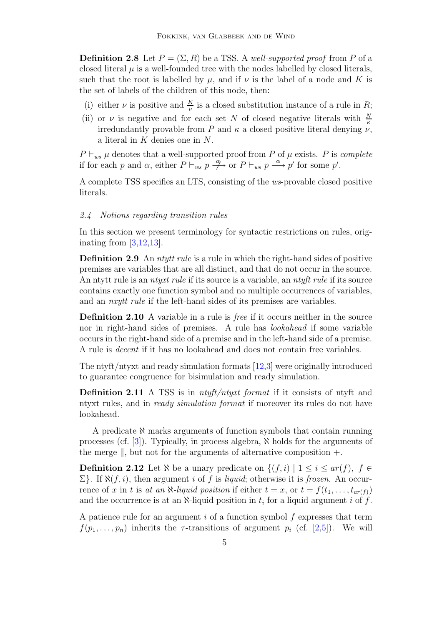**Definition 2.8** Let  $P = (\Sigma, R)$  be a TSS. A well-supported proof from P of a closed literal  $\mu$  is a well-founded tree with the nodes labelled by closed literals, such that the root is labelled by  $\mu$ , and if  $\nu$  is the label of a node and K is the set of labels of the children of this node, then:

- (i) either  $\nu$  is positive and  $\frac{K}{\nu}$  is a closed substitution instance of a rule in R;
- (ii) or  $\nu$  is negative and for each set N of closed negative literals with  $\frac{N}{\kappa}$ irredundantly provable from P and  $\kappa$  a closed positive literal denying  $\nu$ , a literal in K denies one in N.

 $P \vdash_{ws} \mu$  denotes that a well-supported proof from P of  $\mu$  exists. P is *complete* if for each p and  $\alpha$ , either  $P \vdash_{ws} p \stackrel{\alpha}{\longrightarrow} \text{or } P \vdash_{ws} p \stackrel{\alpha}{\longrightarrow} p'$  for some p'.

A complete TSS specifies an LTS, consisting of the ws-provable closed positive literals.

#### 2.4 Notions regarding transition rules

In this section we present terminology for syntactic restrictions on rules, originating from [\[3](#page-13-3)[,12](#page-14-4)[,13\]](#page-14-3).

**Definition 2.9** An *ntytt rule* is a rule in which the right-hand sides of positive premises are variables that are all distinct, and that do not occur in the source. An ntytt rule is an *ntyxt rule* if its source is a variable, an *ntyft rule* if its source contains exactly one function symbol and no multiple occurrences of variables, and an *nxytt rule* if the left-hand sides of its premises are variables.

**Definition 2.10** A variable in a rule is *free* if it occurs neither in the source nor in right-hand sides of premises. A rule has lookahead if some variable occurs in the right-hand side of a premise and in the left-hand side of a premise. A rule is decent if it has no lookahead and does not contain free variables.

The ntyft/ntyxt and ready simulation formats [\[12,](#page-14-4)[3\]](#page-13-3) were originally introduced to guarantee congruence for bisimulation and ready simulation.

**Definition 2.11** A TSS is in  $ntyft/ntyxt format$  if it consists of ntyft and ntyxt rules, and in ready simulation format if moreover its rules do not have lookahead.

A predicate  $\aleph$  marks arguments of function symbols that contain running processes (cf.  $[3]$ ). Typically, in process algebra,  $\aleph$  holds for the arguments of the merge  $\parallel$ , but not for the arguments of alternative composition  $+$ .

**Definition 2.12** Let  $\aleph$  be a unary predicate on  $\{(f, i) | 1 \le i \le ar(f), f \in$  $\Sigma$ . If  $\aleph(f, i)$ , then argument i of f is liquid; otherwise it is frozen. An occurrence of x in t is at an  $\aleph$ -liquid position if either  $t = x$ , or  $t = f(t_1, \ldots, t_{ar(f)})$ and the occurrence is at an  $\aleph$ -liquid position in  $t_i$  for a liquid argument i of f.

A patience rule for an argument  $i$  of a function symbol  $f$  expresses that term  $f(p_1, \ldots, p_n)$  inherits the  $\tau$ -transitions of argument  $p_i$  (cf. [\[2](#page-13-2)[,5\]](#page-13-5)). We will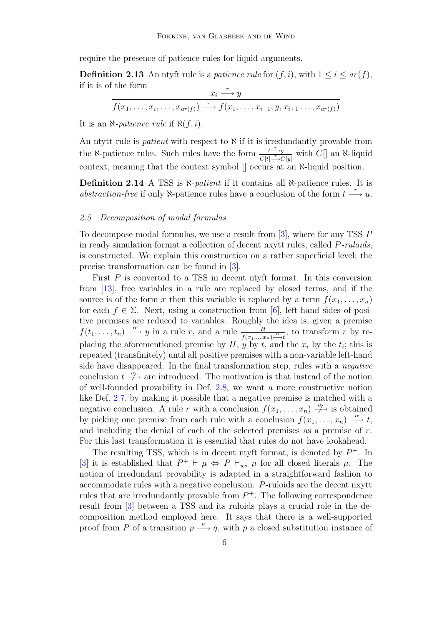require the presence of patience rules for liquid arguments.

**Definition 2.13** An ntyft rule is a *patience rule* for  $(f, i)$ , with  $1 \leq i \leq ar(f)$ , if it is of the form

$$
\frac{x_i \xrightarrow{\tau} y}{f(x_1, \dots, x_i, \dots, x_{ar(f)}) \xrightarrow{\tau} f(x_1, \dots, x_{i-1}, y, x_{i+1} \dots, x_{ar(f)})}
$$

It is an  $\aleph$ -*patience rule* if  $\aleph(f, i)$ .

An ntytt rule is *patient* with respect to  $\aleph$  if it is irredundantly provable from the N-patience rules. Such rules have the form  $\frac{t^{\frac{r}{\gamma}}}{C^{(4)}T}$  $\frac{t \rightarrow y}{C[t] \rightarrow C[y]}$  with  $C[\]$  an N-liquid context, meaning that the context symbol [] occurs at an ℵ-liquid position.

Definition 2.14 A TSS is  $\aleph$ -patient if it contains all  $\aleph$ -patience rules. It is abstraction-free if only  $\aleph$ -patience rules have a conclusion of the form  $t \stackrel{\tau}{\longrightarrow} u$ .

#### 2.5 Decomposition of modal formulas

To decompose modal formulas, we use a result from [\[3\]](#page-13-3), where for any TSS P in ready simulation format a collection of decent nxytt rules, called P-ruloids, is constructed. We explain this construction on a rather superficial level; the precise transformation can be found in [\[3\]](#page-13-3).

First P is converted to a TSS in decent ntyft format. In this conversion from [\[13\]](#page-14-3), free variables in a rule are replaced by closed terms, and if the source is of the form x then this variable is replaced by a term  $f(x_1, \ldots, x_n)$ for each  $f \in \Sigma$ . Next, using a construction from [\[6\]](#page-13-6), left-hand sides of positive premises are reduced to variables. Roughly the idea is, given a premise  $f(t_1,\ldots,t_n) \stackrel{\alpha}{\longrightarrow} y$  in a rule r, and a rule  $\frac{H}{f(x_1,\ldots,x_n)\stackrel{\alpha}{\longrightarrow}t}$ , to transform r by replacing the aforementioned premise by  $H$ ,  $y$  by  $t$ , and the  $x_i$  by the  $t_i$ ; this is repeated (transfinitely) until all positive premises with a non-variable left-hand side have disappeared. In the final transformation step, rules with a *negative* conclusion  $t \stackrel{\tilde{\alpha}}{\rightarrow}$  are introduced. The motivation is that instead of the notion of well-founded provability in Def. [2.8,](#page-4-0) we want a more constructive notion like Def. [2.7,](#page-4-1) by making it possible that a negative premise is matched with a negative conclusion. A rule r with a conclusion  $f(x_1, \ldots, x_n) \stackrel{\alpha}{\to}$  is obtained by picking one premise from each rule with a conclusion  $f(x_1, \ldots, x_n) \stackrel{\alpha}{\longrightarrow} t$ , and including the denial of each of the selected premises as a premise of  $r$ . For this last transformation it is essential that rules do not have lookahead.

The resulting TSS, which is in decent ntyft format, is denoted by  $P^+$ . In [\[3\]](#page-13-3) it is established that  $P^+ \vdash \mu \Leftrightarrow P \vdash_{ws} \mu$  for all closed literals  $\mu$ . The notion of irredundant provability is adapted in a straightforward fashion to accommodate rules with a negative conclusion. P-ruloids are the decent nxytt rules that are irredundantly provable from  $P^+$ . The following correspondence result from [\[3\]](#page-13-3) between a TSS and its ruloids plays a crucial role in the decomposition method employed here. It says that there is a well-supported proof from P of a transition  $p \stackrel{a}{\longrightarrow} q$ , with p a closed substitution instance of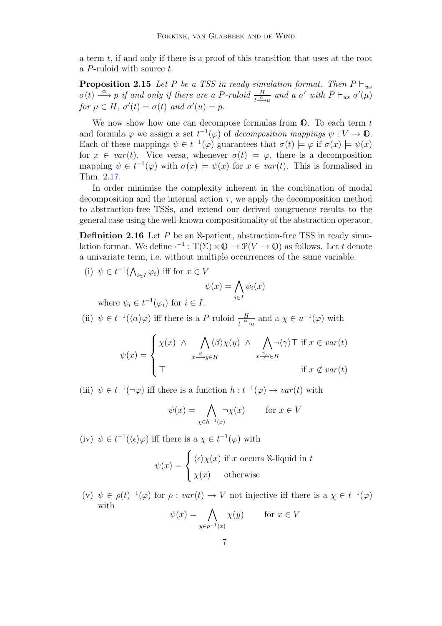<span id="page-7-1"></span>a term t, if and only if there is a proof of this transition that uses at the root a  $P$ -ruloid with source  $t$ .

**Proposition 2.15** Let P be a TSS in ready simulation format. Then  $P \vdash_{ws}$  $\sigma(t) \stackrel{\alpha}{\longrightarrow} p$  if and only if there are a P-ruloid  $\frac{H}{t^{\frac{\alpha}{n}}$  and a  $\sigma'$  with  $P \vdash_{ws} \sigma'(\mu)$ for  $\mu \in H$ ,  $\sigma'(t) = \sigma(t)$  and  $\sigma'(u) = p$ .

We now show how one can decompose formulas from  $\mathbb{O}$ . To each term t and formula  $\varphi$  we assign a set  $t^{-1}(\varphi)$  of *decomposition mappings*  $\psi: V \to \mathbb{O}$ . Each of these mappings  $\psi \in t^{-1}(\varphi)$  guarantees that  $\sigma(t) \models \varphi$  if  $\sigma(x) \models \psi(x)$ for  $x \in var(t)$ . Vice versa, whenever  $\sigma(t) \models \varphi$ , there is a decomposition mapping  $\psi \in t^{-1}(\varphi)$  with  $\sigma(x) \models \psi(x)$  for  $x \in \text{var}(t)$ . This is formalised in Thm. [2.17.](#page-8-1)

In order minimise the complexity inherent in the combination of modal decomposition and the internal action  $\tau$ , we apply the decomposition method to abstraction-free TSSs, and extend our derived congruence results to the general case using the well-known compositionality of the abstraction operator.

<span id="page-7-0"></span>**Definition 2.16** Let  $P$  be an  $\aleph$ -patient, abstraction-free TSS in ready simulation format. We define  $\cdot^{-1} : \mathbb{T}(\Sigma) \times \mathbb{O} \to \mathcal{P}(V \to \mathbb{O})$  as follows. Let t denote a univariate term, i.e. without multiple occurrences of the same variable.

(i) 
$$
\psi \in t^{-1}(\bigwedge_{i \in I} \varphi_i)
$$
 iff for  $x \in V$   
\n
$$
\psi(x) = \bigwedge_{i \in I} \psi_i(x)
$$
\nwhere  $\psi_i \in t^{-1}(\varphi_i)$  for  $i \in I$ .

(ii)  $\psi \in t^{-1}(\langle \alpha \rangle \varphi)$  iff there is a P-ruloid  $\frac{H}{t^{-\alpha}u}$  and a  $\chi \in u^{-1}(\varphi)$  with

$$
\psi(x) = \begin{cases} \chi(x) & \land \bigwedge_{x \stackrel{\beta}{\longrightarrow} y \in H} \langle \beta \rangle \chi(y) & \land \bigwedge_{x \stackrel{\gamma}{\longrightarrow} \in H} \neg \langle \gamma \rangle \top \text{ if } x \in \text{var}(t) \\ \top & \text{if } x \notin \text{var}(t) \end{cases}
$$

(iii)  $\psi \in t^{-1}(\neg \varphi)$  iff there is a function  $h : t^{-1}(\varphi) \to var(t)$  with

$$
\psi(x) = \bigwedge_{\chi \in h^{-1}(x)} \neg \chi(x) \qquad \text{for } x \in V
$$

(iv)  $\psi \in t^{-1}(\langle \epsilon \rangle \varphi)$  iff there is a  $\chi \in t^{-1}(\varphi)$  with

$$
\psi(x) = \begin{cases} \langle \epsilon \rangle \chi(x) & \text{if } x \text{ occurs } \aleph\text{-liquid in } t \\ \chi(x) & \text{otherwise} \end{cases}
$$

(v)  $\psi \in \rho(t)^{-1}(\varphi)$  for  $\rho : var(t) \to V$  not injective iff there is a  $\chi \in t^{-1}(\varphi)$ with

$$
\psi(x) = \bigwedge_{y \in \rho^{-1}(x)} \chi(y) \qquad \text{for } x \in V
$$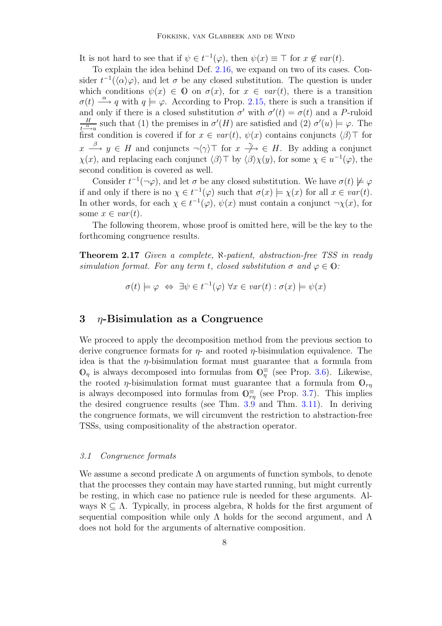It is not hard to see that if  $\psi \in t^{-1}(\varphi)$ , then  $\psi(x) \equiv \top$  for  $x \notin var(t)$ .

To explain the idea behind Def. [2.16,](#page-7-0) we expand on two of its cases. Consider  $t^{-1}(\langle \alpha \rangle \varphi)$ , and let  $\sigma$  be any closed substitution. The question is under which conditions  $\psi(x) \in \mathbb{O}$  on  $\sigma(x)$ , for  $x \in \text{var}(t)$ , there is a transition  $\sigma(t) \stackrel{\alpha}{\longrightarrow} q$  with  $q \models \varphi$ . According to Prop. [2.15,](#page-7-1) there is such a transition if and only if there is a closed substitution  $\sigma'$  with  $\sigma'(t) = \sigma(t)$  and a P-ruloid H  $\frac{H}{t^{\alpha} \to u}$  such that (1) the premises in  $\sigma'(H)$  are satisfied and (2)  $\sigma'(u) \models \varphi$ . The first condition is covered if for  $x \in var(t)$ ,  $\psi(x)$  contains conjuncts  $\langle \beta \rangle$  for  $x \stackrel{\beta}{\longrightarrow} y \in H$  and conjuncts  $\neg \langle \gamma \rangle \top$  for  $x \stackrel{\gamma}{\longrightarrow} \in H$ . By adding a conjunct  $\chi(x)$ , and replacing each conjunct  $\langle \beta \rangle \top$  by  $\langle \beta \rangle \chi(y)$ , for some  $\chi \in u^{-1}(\varphi)$ , the second condition is covered as well.

Consider  $t^{-1}(\neg \varphi)$ , and let  $\sigma$  be any closed substitution. We have  $\sigma(t) \not\models \varphi$ if and only if there is no  $\chi \in t^{-1}(\varphi)$  such that  $\sigma(x) \models \chi(x)$  for all  $x \in var(t)$ . In other words, for each  $\chi \in t^{-1}(\varphi)$ ,  $\psi(x)$  must contain a conjunct  $\neg \chi(x)$ , for some  $x \in var(t)$ .

The following theorem, whose proof is omitted here, will be the key to the forthcoming congruence results.

<span id="page-8-1"></span>Theorem 2.17 Given a complete, N-patient, abstraction-free TSS in ready simulation format. For any term t, closed substitution  $\sigma$  and  $\varphi \in \mathbb{O}$ :

$$
\sigma(t) \models \varphi \Leftrightarrow \exists \psi \in t^{-1}(\varphi) \,\forall x \in \text{var}(t) : \sigma(x) \models \psi(x)
$$

#### 3  $\eta$ -Bisimulation as a Congruence

We proceed to apply the decomposition method from the previous section to derive congruence formats for  $\eta$ - and rooted  $\eta$ -bisimulation equivalence. The idea is that the  $\eta$ -bisimulation format must guarantee that a formula from  $\mathbb{O}_\eta$  is always decomposed into formulas from  $\mathbb{O}_\eta^{\equiv}$  (see Prop. [3.6\)](#page-10-0). Likewise, the rooted *η*-bisimulation format must guarantee that a formula from  $\mathbb{O}_{rn}$ is always decomposed into formulas from  $\mathbb{O}_{r\eta}^{\equiv}$  (see Prop. [3.7\)](#page-11-0). This implies the desired congruence results (see Thm. [3.9](#page-12-0) and Thm. [3.11\)](#page-12-1). In deriving the congruence formats, we will circumvent the restriction to abstraction-free TSSs, using compositionality of the abstraction operator.

#### <span id="page-8-0"></span>3.1 Congruence formats

We assume a second predicate  $\Lambda$  on arguments of function symbols, to denote that the processes they contain may have started running, but might currently be resting, in which case no patience rule is needed for these arguments. Always  $\aleph \subseteq \Lambda$ . Typically, in process algebra,  $\aleph$  holds for the first argument of sequential composition while only  $\Lambda$  holds for the second argument, and  $\Lambda$ does not hold for the arguments of alternative composition.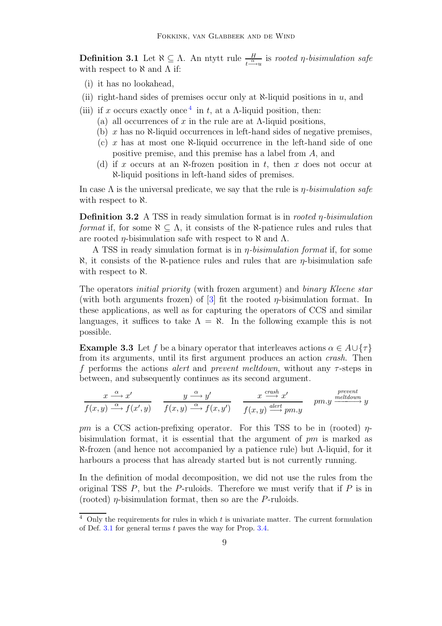<span id="page-9-2"></span>**Definition 3.1** Let  $\aleph \subseteq \Lambda$ . An ntytt rule  $\frac{H}{t^{\frac{\alpha}{n}}\mu}$  is rooted *η*-bisimulation safe with respect to  $\aleph$  and  $\Lambda$  if:

- (i) it has no lookahead,
- (ii) right-hand sides of premises occur only at  $\aleph$ -liquid positions in u, and
- (iii) if x occurs exactly once <sup>[4](#page-9-1)</sup> in t, at a  $\Lambda$ -liquid position, then:
	- (a) all occurrences of x in the rule are at  $\Lambda$ -liquid positions,
	- (b)  $x$  has no  $\aleph$ -liquid occurrences in left-hand sides of negative premises,
	- (c)  $x$  has at most one  $\aleph$ -liquid occurrence in the left-hand side of one positive premise, and this premise has a label from A, and
	- (d) if x occurs at an  $\aleph$ -frozen position in t, then x does not occur at ℵ-liquid positions in left-hand sides of premises.

In case  $\Lambda$  is the universal predicate, we say that the rule is  $\eta$ -bisimulation safe with respect to  $\aleph$ .

**Definition 3.2** A TSS in ready simulation format is in *rooted*  $\eta$ -bisimulation format if, for some  $\aleph \subseteq \Lambda$ , it consists of the  $\aleph$ -patience rules and rules that are rooted *η*-bisimulation safe with respect to  $\aleph$  and  $Λ$ .

A TSS in ready simulation format is in  $\eta$ -bisimulation format if, for some  $\aleph$ , it consists of the  $\aleph$ -patience rules and rules that are  $\eta$ -bisimulation safe with respect to  $\aleph$ .

The operators initial priority (with frozen argument) and binary Kleene star (with both arguments frozen) of  $[3]$  fit the rooted  $\eta$ -bisimulation format. In these applications, as well as for capturing the operators of CCS and similar languages, it suffices to take  $\Lambda = \aleph$ . In the following example this is not possible.

**Example 3.3** Let f be a binary operator that interleaves actions  $\alpha \in A \cup \{\tau\}$ from its arguments, until its first argument produces an action crash. Then f performs the actions *alert* and *prevent meltdown*, without any  $\tau$ -steps in between, and subsequently continues as its second argument.

$$
\frac{x\xrightarrow{\alpha}x'}{f(x,y)\xrightarrow{\alpha}f(x',y)} \quad \frac{y\xrightarrow{\alpha}y'}{f(x,y)\xrightarrow{\alpha}f(x,y')} \quad \frac{x\xrightarrow{crash}x'}{f(x,y)\xrightarrow{aert}pm.y} \quad pm.y\xrightarrow{prevent}y
$$

pm is a CCS action-prefixing operator. For this TSS to be in (rooted)  $\eta$ bisimulation format, it is essential that the argument of  $pm$  is marked as ℵ-frozen (and hence not accompanied by a patience rule) but Λ-liquid, for it harbours a process that has already started but is not currently running.

In the definition of modal decomposition, we did not use the rules from the original TSS  $P$ , but the  $P$ -ruloids. Therefore we must verify that if  $P$  is in (rooted)  $\eta$ -bisimulation format, then so are the P-ruloids.

<span id="page-9-1"></span><span id="page-9-0"></span> $4$  Only the requirements for rules in which t is univariate matter. The current formulation of Def.  $3.1$  for general terms  $t$  paves the way for Prop.  $3.4$ .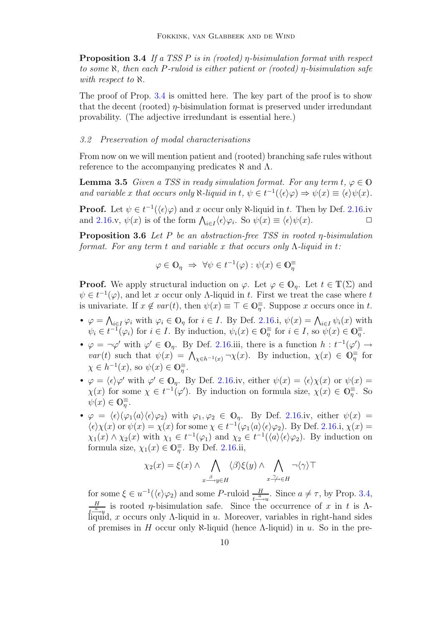**Proposition 3.4** If a TSS P is in (rooted)  $\eta$ -bisimulation format with respect to some  $\aleph$ , then each P-ruloid is either patient or (rooted) *η*-bisimulation safe with respect to  $\aleph$ .

The proof of Prop. [3.4](#page-9-0) is omitted here. The key part of the proof is to show that the decent (rooted)  $\eta$ -bisimulation format is preserved under irredundant provability. (The adjective irredundant is essential here.)

#### 3.2 Preservation of modal characterisations

From now on we will mention patient and (rooted) branching safe rules without reference to the accompanying predicates  $\aleph$  and  $\Lambda$ .

<span id="page-10-1"></span>**Lemma 3.5** Given a TSS in ready simulation format. For any term  $t, \varphi \in \mathbb{O}$ and variable x that occurs only  $\aleph$ -liquid in  $t, \psi \in t^{-1}(\langle \epsilon \rangle \varphi) \Rightarrow \psi(x) \equiv \langle \epsilon \rangle \psi(x)$ .

**Proof.** Let  $\psi \in t^{-1}(\langle \epsilon \rangle \varphi)$  and x occur only  $\aleph$ -liquid in t. Then by Def. [2.16.](#page-7-0)iv and [2.16.](#page-7-0)v,  $\psi(x)$  is of the form  $\bigwedge_{i\in I} \langle \epsilon \rangle \varphi_i$ . So  $\psi(x) \equiv \langle \epsilon \rangle \psi(x)$ .

<span id="page-10-0"></span>**Proposition 3.6** Let P be an abstraction-free TSS in rooted  $\eta$ -bisimulation format. For any term t and variable x that occurs only  $\Lambda$ -liquid in t:

$$
\varphi \in \mathbb{O}_{\eta} \implies \forall \psi \in t^{-1}(\varphi) : \psi(x) \in \mathbb{O}_{\eta}^{\equiv}
$$

**Proof.** We apply structural induction on  $\varphi$ . Let  $\varphi \in \mathbb{O}_\eta$ . Let  $t \in \mathbb{T}(\Sigma)$  and  $\psi \in t^{-1}(\varphi)$ , and let x occur only A-liquid in t. First we treat the case where t is univariate. If  $x \notin var(t)$ , then  $\psi(x) \equiv \top \in \mathbb{O}_\eta^{\equiv}$ . Suppose x occurs once in t.

- $\varphi = \bigwedge_{i \in I} \varphi_i$  with  $\varphi_i \in \mathbb{O}_\eta$  for  $i \in I$ . By Def. [2.16.](#page-7-0)i,  $\psi(x) = \bigwedge_{i \in I} \psi_i(x)$  with  $\psi_i \in t^{-1}(\varphi_i)$  for  $i \in I$ . By induction,  $\psi_i(x) \in \mathbb{O}_{\overline{\eta}}^{\equiv}$  for  $i \in I$ , so  $\psi(x) \in \mathbb{O}_{\overline{\eta}}^{\equiv}$ .
- $\varphi = \neg \varphi'$  with  $\varphi' \in \mathbb{O}_\eta$ . By Def. [2.16.](#page-7-0)iii, there is a function  $h : t^{-1}(\varphi') \to$ var(t) such that  $\psi(x) = \bigwedge_{\chi \in h^{-1}(x)} \neg \chi(x)$ . By induction,  $\chi(x) \in \mathbb{O}_{\overline{\eta}}^{\equiv}$  for  $\chi \in h^{-1}(x)$ , so  $\psi(x) \in \mathbb{O}_\eta^{\equiv}$ .
- $\varphi = \langle \epsilon \rangle \varphi'$  with  $\varphi' \in \mathbb{O}_\eta$ . By Def. [2.16.](#page-7-0)iv, either  $\psi(x) = \langle \epsilon \rangle \chi(x)$  or  $\psi(x) =$  $\chi(x)$  for some  $\chi \in t^{-1}(\varphi')$ . By induction on formula size,  $\chi(x) \in \mathbb{O}_{\overline{\eta}}^{\equiv}$ . So  $\psi(x) \in \mathbb{O}_\eta^{\equiv}$ .
- $\varphi = \langle \epsilon \rangle (\varphi_1 \langle a \rangle \langle \epsilon \rangle \varphi_2)$  with  $\varphi_1, \varphi_2 \in \mathbb{O}_\eta$ . By Def. [2.16.](#page-7-0)iv, either  $\psi(x) =$  $\langle \epsilon \rangle \chi(x)$  or  $\psi(x) = \chi(x)$  for some  $\chi \in t^{-1}(\varphi_1 \langle a \rangle \langle \epsilon \rangle \varphi_2)$ . By Def. [2.16.](#page-7-0)i,  $\chi(x) =$  $\chi_1(x) \wedge \chi_2(x)$  with  $\chi_1 \in t^{-1}(\varphi_1)$  and  $\chi_2 \in t^{-1}(\langle a \rangle \langle \epsilon \rangle \varphi_2)$ . By induction on formula size,  $\chi_1(x) \in \mathbb{O}_\eta^{\equiv}$ . By Def. [2.16.](#page-7-0)ii,

$$
\chi_2(x) = \xi(x) \wedge \bigwedge_{x \stackrel{\beta}{\longrightarrow} y \in H} \langle \beta \rangle \xi(y) \wedge \bigwedge_{x \stackrel{\gamma}{\longrightarrow} \in H} \neg \langle \gamma \rangle \top
$$

for some  $\xi \in u^{-1}(\langle \epsilon \rangle \varphi_2)$  and some P-ruloid  $\frac{H}{t^{\frac{a}{-\alpha}}u}$ . Since  $a \neq \tau$ , by Prop. [3.4,](#page-9-0) H  $\frac{H}{t^{\alpha} \rightarrow u}$  is rooted *η*-bisimulation safe. Since the occurrence of x in t is Λliquid, x occurs only  $\Lambda$ -liquid in u. Moreover, variables in right-hand sides of premises in H occur only  $\aleph$ -liquid (hence A-liquid) in u. So in the pre-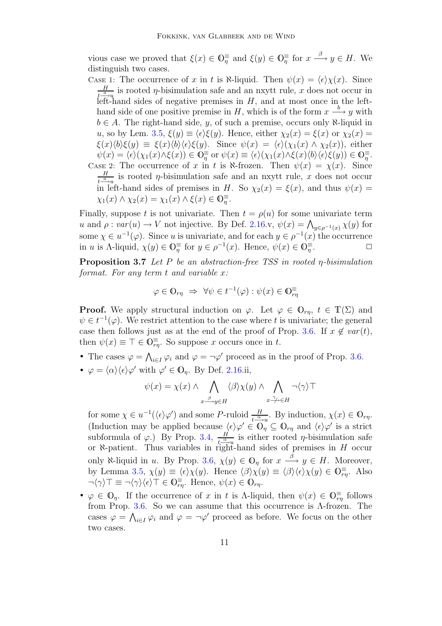vious case we proved that  $\xi(x) \in \mathbb{O}_\eta^{\equiv}$  and  $\xi(y) \in \mathbb{O}_\eta^{\equiv}$  for  $x \stackrel{\beta}{\longrightarrow} y \in H$ . We distinguish two cases.

Case 1: The occurrence of x in t is  $\aleph$ -liquid. Then  $\psi(x) = \langle \epsilon \rangle \chi(x)$ . Since H  $\frac{H}{t^{\alpha}$  is rooted  $\eta$ -bisimulation safe and an nxytt rule, x does not occur in left-hand sides of negative premises in  $H$ , and at most once in the lefthand side of one positive premise in H, which is of the form  $x \stackrel{b}{\longrightarrow} y$  with  $b \in A$ . The right-hand side, y, of such a premise, occurs only  $\aleph$ -liquid in u, so by Lem. [3.5,](#page-10-1)  $\xi(y) \equiv \langle \epsilon \rangle \xi(y)$ . Hence, either  $\chi_2(x) = \xi(x)$  or  $\chi_2(x) =$  $\xi(x)\langle b\rangle \xi(y) \equiv \xi(x)\langle b\rangle \langle \epsilon \rangle \xi(y)$ . Since  $\psi(x) = \langle \epsilon \rangle (\chi_1(x) \wedge \chi_2(x))$ , either  $\psi(x) = \langle \epsilon \rangle (\chi_1(x) \wedge \xi(x)) \in \mathbb{O}_{\eta}^{\equiv}$  or  $\psi(x) \equiv \langle \epsilon \rangle (\chi_1(x) \wedge \xi(x) \langle b \rangle \langle \epsilon \rangle \xi(y)) \in \mathbb{O}_{\eta}^{\equiv}$ . CASE 2: The occurrence of x in t is N-frozen. Then  $\psi(x) = \chi(x)$ . Since H  $\frac{H}{t^{\alpha}$  is rooted *η*-bisimulation safe and an nxytt rule, *x* does not occur in left-hand sides of premises in H. So  $\chi_2(x) = \xi(x)$ , and thus  $\psi(x) =$  $\chi_1(x) \wedge \chi_2(x) = \chi_1(x) \wedge \xi(x) \in \mathbb{O}_\eta^{\equiv}.$ 

Finally, suppose t is not univariate. Then  $t = \rho(u)$  for some univariate term u and  $\rho: var(u) \to V$  not injective. By Def. [2.16.](#page-7-0)v,  $\psi(x) = \bigwedge_{y \in \rho^{-1}(x)} \chi(y)$  for some  $\chi \in u^{-1}(\varphi)$ . Since u is univariate, and for each  $y \in \rho^{-1}(x)$  the occurrence in u is Λ-liquid,  $\chi(y) \in \mathbb{O}_{\overline{\eta}}^{\equiv}$  for  $y \in \rho^{-1}(x)$ . Hence,  $\psi(x) \in \mathbb{O}_{\overline{\eta}}^{\equiv}$  $\Box$ 

<span id="page-11-0"></span>**Proposition 3.7** Let P be an abstraction-free TSS in rooted  $\eta$ -bisimulation format. For any term t and variable x:

$$
\varphi \in \mathbb{O}_{r\eta} \implies \forall \psi \in t^{-1}(\varphi) : \psi(x) \in \mathbb{O}_{r\eta}^{\equiv}
$$

**Proof.** We apply structural induction on  $\varphi$ . Let  $\varphi \in \mathbb{O}_{r\eta}$ ,  $t \in \mathbb{T}(\Sigma)$  and  $\psi \in t^{-1}(\varphi)$ . We restrict attention to the case where t is univariate; the general case then follows just as at the end of the proof of Prop. [3.6.](#page-10-0) If  $x \notin var(t)$ , then  $\psi(x) \equiv \top \in \mathbb{O}^{\equiv}_{r\eta}$ . So suppose x occurs once in t.

- The cases  $\varphi = \bigwedge_{i \in I} \varphi_i$  and  $\varphi = \neg \varphi'$  proceed as in the proof of Prop. [3.6.](#page-10-0)
- $\varphi = \langle \alpha \rangle \langle \epsilon \rangle \varphi'$  with  $\varphi' \in \mathbb{O}_\eta$ . By Def. [2.16.](#page-7-0)ii,

$$
\psi(x) = \chi(x) \wedge \bigwedge_{x \stackrel{\beta}{\longrightarrow} y \in H} \langle \beta \rangle \chi(y) \wedge \bigwedge_{x \stackrel{\gamma}{\longrightarrow} \in H} \neg \langle \gamma \rangle \top
$$

for some  $\chi \in u^{-1}(\langle \epsilon \rangle \varphi')$  and some P-ruloid  $\frac{H}{t-\alpha}$ . By induction,  $\chi(x) \in \mathbb{O}_{r\eta}$ . (Induction may be applied because  $\langle \epsilon \rangle \varphi' \in \overline{\mathbb{O}_\eta} \subseteq \mathbb{O}_{r\eta}$  and  $\langle \epsilon \rangle \varphi'$  is a strict subformula of  $\varphi$ .) By Prop. [3.4,](#page-9-0)  $\frac{H}{I\alpha}$  $\frac{H}{t-\gamma u}$  is either rooted  $\eta$ -bisimulation safe or  $\aleph$ -patient. Thus variables in right-hand sides of premises in H occur only  $\aleph$ -liquid in u. By Prop. [3.6,](#page-10-0)  $\chi(y) \in \mathbb{O}_\eta$  for  $x \stackrel{\beta}{\longrightarrow} y \in H$ . Moreover, by Lemma [3.5,](#page-10-1)  $\chi(y) \equiv \langle \epsilon \rangle \chi(y)$ . Hence  $\langle \beta \rangle \chi(y) \equiv \langle \beta \rangle \langle \epsilon \rangle \chi(y) \in \mathbb{O}_{\tau\eta}^{\equiv}$ . Also  $\neg \langle \gamma \rangle \top \equiv \neg \langle \gamma \rangle \langle \epsilon \rangle \top \in \mathbb{O}^{\equiv}_{r\eta}$ . Hence,  $\psi(x) \in \mathbb{O}_{r\eta}$ .

•  $\varphi \in \mathbb{O}_\eta$ . If the occurrence of x in t is A-liquid, then  $\psi(x) \in \mathbb{O}_{rr}^{\equiv}$  follows from Prop. [3.6.](#page-10-0) So we can assume that this occurrence is Λ-frozen. The cases  $\varphi = \bigwedge_{i \in I} \varphi_i$  and  $\varphi = \neg \varphi'$  proceed as before. We focus on the other two cases.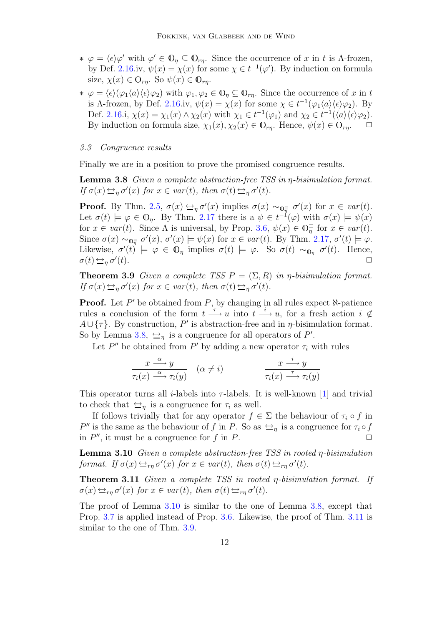- $\ast \varphi = \langle \epsilon \rangle \varphi'$  with  $\varphi' \in \mathbb{O}_\eta \subseteq \mathbb{O}_{r\eta}$ . Since the occurrence of x in t is Λ-frozen, by Def. [2.16.](#page-7-0)iv,  $\psi(x) = \chi(x)$  for some  $\chi \in t^{-1}(\varphi')$ . By induction on formula size,  $\chi(x) \in \mathbb{O}_{rn}$ . So  $\psi(x) \in \mathbb{O}_{rn}$ .
- $\ast \varphi = \langle \epsilon \rangle (\varphi_1 \langle a \rangle \langle \epsilon \rangle \varphi_2)$  with  $\varphi_1, \varphi_2 \in \mathbb{O}_n$  ⊆  $\mathbb{O}_{r\eta}$ . Since the occurrence of x in t is A-frozen, by Def. [2.16.](#page-7-0)iv,  $\psi(x) = \chi(x)$  for some  $\chi \in t^{-1}(\varphi_1 \langle a \rangle \langle \epsilon \rangle \varphi_2)$ . By Def. [2.16.](#page-7-0)i,  $\chi(x) = \chi_1(x) \wedge \chi_2(x)$  with  $\chi_1 \in t^{-1}(\varphi_1)$  and  $\chi_2 \in t^{-1}(\langle a \rangle \langle \epsilon \rangle \varphi_2)$ . By induction on formula size,  $\chi_1(x), \chi_2(x) \in \mathbb{O}_{rn}$ . Hence,  $\psi(x) \in \mathbb{O}_{rn}$ .

#### 3.3 Congruence results

<span id="page-12-2"></span>Finally we are in a position to prove the promised congruence results.

**Lemma 3.8** Given a complete abstraction-free TSS in  $\eta$ -bisimulation format. If  $\sigma(x) \triangleq_{\eta} \sigma'(x)$  for  $x \in var(t)$ , then  $\sigma(t) \triangleq_{\eta} \sigma'(t)$ .

**Proof.** By Thm. [2.5,](#page-4-2)  $\sigma(x) \rightarrow_{\eta} \sigma'(x)$  implies  $\sigma(x) \sim_{\mathbb{Q}_{\overline{\eta}}} \sigma'(x)$  for  $x \in var(t)$ . Let  $\sigma(t) \models \varphi \in \mathbb{O}_\eta$ . By Thm. [2.17](#page-8-1) there is a  $\psi \in t^{-1}(\varphi)$  with  $\sigma(x) \models \psi(x)$ for  $x \in var(t)$ . Since  $\Lambda$  is universal, by Prop. [3.6,](#page-10-0)  $\psi(x) \in \mathbb{O}_\eta^{\equiv}$  for  $x \in var(t)$ . Since  $\sigma(x) \sim_{\mathbb{Q}_{\overline{\eta}}} \sigma'(x)$ ,  $\sigma'(x) \models \psi(x)$  for  $x \in \text{var}(t)$ . By Thm. [2.17,](#page-8-1)  $\sigma'(t) \models \varphi$ . Likewise,  $\sigma'(t) \models \varphi \in \mathbb{O}_\eta$  implies  $\sigma(t) \models \varphi$ . So  $\sigma(t) \sim_{\mathbb{O}_\eta} \sigma'(t)$ . Hence,  $\sigma(t) \rightarrowq_{\eta} \sigma'$  $(t).$ 

<span id="page-12-0"></span>**Theorem 3.9** Given a complete TSS  $P = (\Sigma, R)$  in *η*-bisimulation format. If  $\sigma(x) \triangleq_{\eta} \sigma'(x)$  for  $x \in var(t)$ , then  $\sigma(t) \triangleq_{\eta} \sigma'(t)$ .

**Proof.** Let  $P'$  be obtained from  $P$ , by changing in all rules expect  $\aleph$ -patience rules a conclusion of the form  $t \stackrel{\tau}{\longrightarrow} u$  into  $t \stackrel{\tau}{\longrightarrow} u$ , for a fresh action  $i \notin$  $A \cup \{\tau\}$ . By construction, P' is abstraction-free and in  $\eta$ -bisimulation format. So by Lemma [3.8,](#page-12-2)  $\hookrightarrow_{\eta}$  is a congruence for all operators of P'.

Let  $P''$  be obtained from  $P'$  by adding a new operator  $\tau_i$  with rules

$$
\frac{x \stackrel{\alpha}{\longrightarrow} y}{\tau_i(x) \stackrel{\alpha}{\longrightarrow} \tau_i(y)} \quad (\alpha \neq i) \qquad \qquad \frac{x \stackrel{i}{\longrightarrow} y}{\tau_i(x) \stackrel{\tau}{\longrightarrow} \tau_i(y)}
$$

This operator turns all *i*-labels into  $\tau$ -labels. It is well-known [\[1\]](#page-13-0) and trivial to check that  $\leq_n$  is a congruence for  $\tau_i$  as well.

If follows trivially that for any operator  $f \in \Sigma$  the behaviour of  $\tau_i \circ f$  in P'' is the same as the behaviour of f in P. So as  $\Rightarrow_{\eta}$  is a congruence for  $\tau_i \circ f$ in  $P''$ , it must be a congruence for f in P.

<span id="page-12-3"></span>**Lemma 3.10** Given a complete abstraction-free TSS in rooted  $\eta$ -bisimulation format. If  $\sigma(x) \triangleq_{r\eta} \sigma'(x)$  for  $x \in var(t)$ , then  $\sigma(t) \triangleq_{r\eta} \sigma'(t)$ .

<span id="page-12-1"></span>Theorem 3.11 Given a complete TSS in rooted η-bisimulation format. If  $\sigma(x) \rightarrow_{r\eta} \sigma'(x)$  for  $x \in var(t)$ , then  $\sigma(t) \rightarrow_{r\eta} \sigma'(t)$ .

The proof of Lemma [3.10](#page-12-3) is similar to the one of Lemma [3.8,](#page-12-2) except that Prop. [3.7](#page-11-0) is applied instead of Prop. [3.6.](#page-10-0) Likewise, the proof of Thm. [3.11](#page-12-1) is similar to the one of Thm. [3.9.](#page-12-0)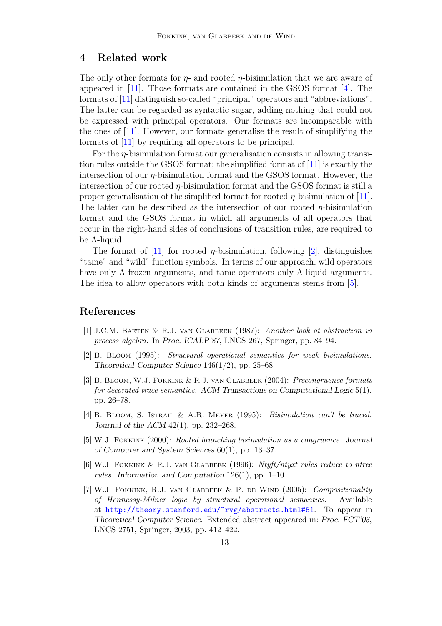### 4 Related work

The only other formats for  $\eta$ - and rooted  $\eta$ -bisimulation that we are aware of appeared in [\[11\]](#page-14-5). Those formats are contained in the GSOS format [\[4\]](#page-13-1). The formats of [\[11\]](#page-14-5) distinguish so-called "principal" operators and "abbreviations". The latter can be regarded as syntactic sugar, adding nothing that could not be expressed with principal operators. Our formats are incomparable with the ones of [\[11\]](#page-14-5). However, our formats generalise the result of simplifying the formats of [\[11\]](#page-14-5) by requiring all operators to be principal.

For the  $\eta$ -bisimulation format our generalisation consists in allowing transition rules outside the GSOS format; the simplified format of [\[11\]](#page-14-5) is exactly the intersection of our  $n$ -bisimulation format and the GSOS format. However, the intersection of our rooted  $\eta$ -bisimulation format and the GSOS format is still a proper generalisation of the simplified format for rooted  $\eta$ -bisimulation of [\[11\]](#page-14-5). The latter can be described as the intersection of our rooted  $\eta$ -bisimulation format and the GSOS format in which all arguments of all operators that occur in the right-hand sides of conclusions of transition rules, are required to be Λ-liquid.

The format of [\[11\]](#page-14-5) for rooted  $\eta$ -bisimulation, following [\[2\]](#page-13-2), distinguishes "tame" and "wild" function symbols. In terms of our approach, wild operators have only Λ-frozen arguments, and tame operators only Λ-liquid arguments. The idea to allow operators with both kinds of arguments stems from [\[5\]](#page-13-5).

### <span id="page-13-0"></span>References

- <span id="page-13-2"></span>[1] J.C.M. Baeten & R.J. van Glabbeek (1987): Another look at abstraction in process algebra. In Proc. ICALP'87, LNCS 267, Springer, pp. 84–94.
- <span id="page-13-3"></span>[2] B. Bloom (1995): Structural operational semantics for weak bisimulations. Theoretical Computer Science 146(1/2), pp. 25–68.
- [3] B. Bloom, W.J. Fokkink & R.J. van Glabbeek (2004): Precongruence formats for decorated trace semantics. ACM Transactions on Computational Logic 5(1), pp. 26–78.
- <span id="page-13-5"></span><span id="page-13-1"></span>[4] B. Bloom, S. Istrail & A.R. Meyer (1995): Bisimulation can't be traced. Journal of the ACM  $42(1)$ , pp. 232–268.
- <span id="page-13-6"></span>[5] W.J. Fokkink (2000): Rooted branching bisimulation as a congruence. Journal of Computer and System Sciences 60(1), pp. 13–37.
- <span id="page-13-4"></span>[6] W.J. Fokkink & R.J. van Glabbeek (1996): Ntyft/ntyxt rules reduce to ntree rules. Information and Computation 126(1), pp. 1–10.
- [7] W.J. Fokkink, R.J. van Glabbeek & P. de Wind (2005): Compositionality of Hennessy-Milner logic by structural operational semantics. Available at <http://theory.stanford.edu/~rvg/abstracts.html#61>. To appear in Theoretical Computer Science. Extended abstract appeared in: Proc. FCT'03, LNCS 2751, Springer, 2003, pp. 412–422.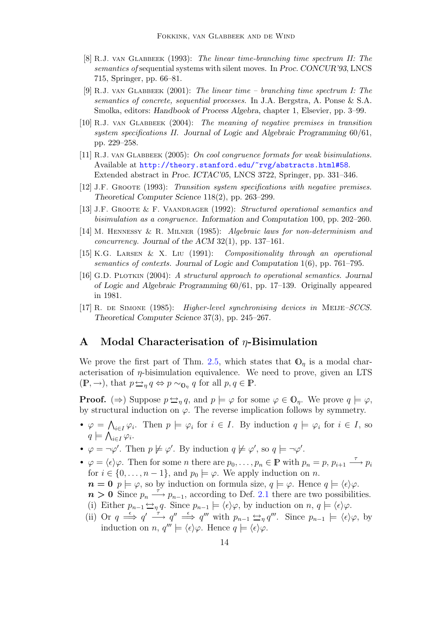- <span id="page-14-1"></span>[8] R.J. van Glabbeek (1993): The linear time-branching time spectrum II: The semantics of sequential systems with silent moves. In Proc. CONCUR'93, LNCS 715, Springer, pp. 66–81.
- <span id="page-14-6"></span>[9] R.J. VAN GLABBEEK  $(2001)$ : The linear time – branching time spectrum I: The semantics of concrete, sequential processes. In J.A. Bergstra, A. Ponse & S.A. Smolka, editors: Handbook of Process Algebra, chapter 1, Elsevier, pp. 3–99.
- <span id="page-14-9"></span>[10] R.J. van Glabbeek (2004): The meaning of negative premises in transition system specifications II. Journal of Logic and Algebraic Programming 60/61, pp. 229–258.
- <span id="page-14-5"></span>[11] R.J. van Glabbeek (2005): On cool congruence formats for weak bisimulations. Available at <http://theory.stanford.edu/~rvg/abstracts.html#58>. Extended abstract in Proc. ICTAC'05, LNCS 3722, Springer, pp. 331–346.
- <span id="page-14-4"></span><span id="page-14-3"></span>[12] J.F. Groote (1993): Transition system specifications with negative premises. Theoretical Computer Science 118(2), pp. 263–299.
- <span id="page-14-7"></span>[13] J.F. Groote & F. Vaandrager (1992): Structured operational semantics and bisimulation as a congruence. Information and Computation 100, pp. 202–260.
- <span id="page-14-8"></span>[14] M. Hennessy & R. Milner (1985): Algebraic laws for non-determinism and *concurrency.* Journal of the ACM  $32(1)$ , pp.  $137-161$ .
- <span id="page-14-0"></span>[15] K.G. Larsen & X. Liu (1991): Compositionality through an operational semantics of contexts. Journal of Logic and Computation 1(6), pp. 761–795.
- [16] G.D. Plotkin (2004): A structural approach to operational semantics. Journal of Logic and Algebraic Programming 60/61, pp. 17–139. Originally appeared in 1981.
- <span id="page-14-2"></span>[17] R. de Simone (1985): Higher-level synchronising devices in MEIJE–SCCS. Theoretical Computer Science 37(3), pp. 245–267.

### A Modal Characterisation of  $\eta$ -Bisimulation

We prove the first part of Thm. [2.5,](#page-4-2) which states that  $\mathbb{O}_n$  is a modal characterisation of  $\eta$ -bisimulation equivalence. We need to prove, given an LTS  $(\mathbb{P}, \to)$ , that  $p \to_{\eta} q \Leftrightarrow p \sim_{\mathbb{O}_{\eta}} q$  for all  $p, q \in \mathbb{P}$ .

**Proof.** ( $\Rightarrow$ ) Suppose  $p \leftrightarrow q$ , and  $p \models \varphi$  for some  $\varphi \in \mathbb{O}_n$ . We prove  $q \models \varphi$ , by structural induction on  $\varphi$ . The reverse implication follows by symmetry.

- $\varphi = \bigwedge_{i \in I} \varphi_i$ . Then  $p \models \varphi_i$  for  $i \in I$ . By induction  $q \models \varphi_i$  for  $i \in I$ , so  $q \models \bigwedge_{i \in I} \varphi_i.$
- $\varphi = \neg \varphi'$ . Then  $p \not\models \varphi'$ . By induction  $q \not\models \varphi'$ , so  $q \models \neg \varphi'$ .
- $\varphi = \langle \epsilon \rangle \varphi$ . Then for some *n* there are  $p_0, \ldots, p_n \in \mathbb{P}$  with  $p_n = p, p_{i+1} \stackrel{\tau}{\longrightarrow} p_i$ for  $i \in \{0, \ldots, n-1\}$ , and  $p_0 \models \varphi$ . We apply induction on n.
- $n = 0$   $p \models \varphi$ , so by induction on formula size,  $q \models \varphi$ . Hence  $q \models \langle \epsilon \rangle \varphi$ .
- $n > 0$  Since  $p_n \stackrel{\tau}{\longrightarrow} p_{n-1}$ , according to Def. [2.1](#page-3-0) there are two possibilities. (i) Either  $p_{n-1} \leftrightarrow q$ . Since  $p_{n-1} \models \langle \epsilon \rangle \varphi$ , by induction on  $n, q \models \langle \epsilon \rangle \varphi$ .
- (ii) Or  $q \stackrel{\epsilon}{\implies} q' \stackrel{\tau}{\longrightarrow} q'' \stackrel{\epsilon}{\implies} q'''$  with  $p_{n-1} \stackrel{\leftrightarrow}{\implies} q'''$ . Since  $p_{n-1} \models \langle \epsilon \rangle \varphi$ , by induction on n,  $q''' \models \langle \epsilon \rangle \varphi$ . Hence  $q \models \langle \epsilon \rangle \varphi$ .